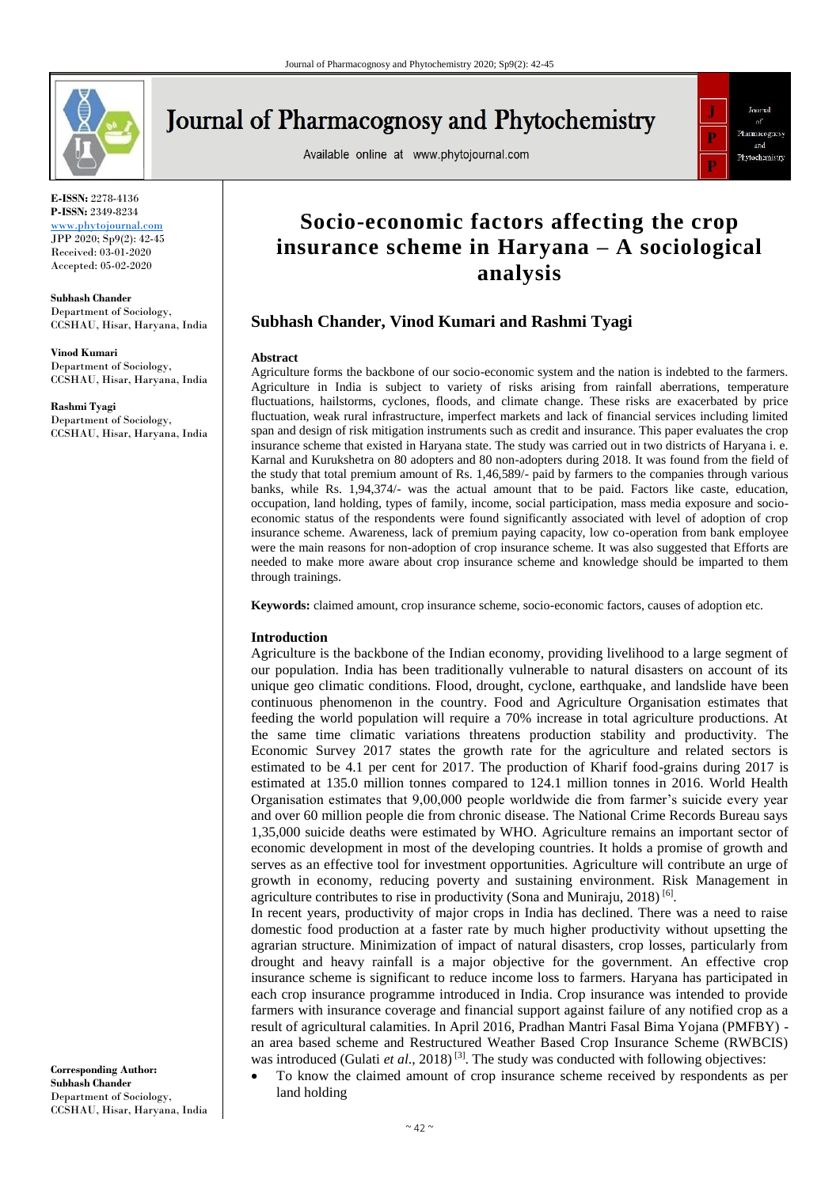

**Journal of Pharmacognosy and Phytochemistry** 

Available online at www.phytojournal.com



**E-ISSN:** 2278-4136 **P-ISSN:** 2349-8234 <www.phytojournal.com>

JPP 2020; Sp9(2): 42-45 Received: 03-01-2020 Accepted: 05-02-2020

**Subhash Chander** Department of Sociology, CCSHAU, Hisar, Haryana, India

**Vinod Kumari** Department of Sociology, CCSHAU, Hisar, Haryana, India

**Rashmi Tyagi** Department of Sociology, CCSHAU, Hisar, Haryana, India

**Socio-economic factors affecting the crop insurance scheme in Haryana – A sociological analysis**

# **Subhash Chander, Vinod Kumari and Rashmi Tyagi**

#### **Abstract**

Agriculture forms the backbone of our socio-economic system and the nation is indebted to the farmers. Agriculture in India is subject to variety of risks arising from rainfall aberrations, temperature fluctuations, hailstorms, cyclones, floods, and climate change. These risks are exacerbated by price fluctuation, weak rural infrastructure, imperfect markets and lack of financial services including limited span and design of risk mitigation instruments such as credit and insurance. This paper evaluates the crop insurance scheme that existed in Haryana state. The study was carried out in two districts of Haryana i. e. Karnal and Kurukshetra on 80 adopters and 80 non-adopters during 2018. It was found from the field of the study that total premium amount of Rs. 1,46,589/- paid by farmers to the companies through various banks, while Rs. 1,94,374/- was the actual amount that to be paid. Factors like caste, education, occupation, land holding, types of family, income, social participation, mass media exposure and socioeconomic status of the respondents were found significantly associated with level of adoption of crop insurance scheme. Awareness, lack of premium paying capacity, low co-operation from bank employee were the main reasons for non-adoption of crop insurance scheme. It was also suggested that Efforts are needed to make more aware about crop insurance scheme and knowledge should be imparted to them through trainings.

**Keywords:** claimed amount, crop insurance scheme, socio-economic factors, causes of adoption etc.

## **Introduction**

Agriculture is the backbone of the Indian economy, providing livelihood to a large segment of our population. India has been traditionally vulnerable to natural disasters on account of its unique geo climatic conditions. Flood, drought, cyclone, earthquake, and landslide have been continuous phenomenon in the country. Food and Agriculture Organisation estimates that feeding the world population will require a 70% increase in total agriculture productions. At the same time climatic variations threatens production stability and productivity. The Economic Survey 2017 states the growth rate for the agriculture and related sectors is estimated to be 4.1 per cent for 2017. The production of Kharif food-grains during 2017 is estimated at 135.0 million tonnes compared to 124.1 million tonnes in 2016. World Health Organisation estimates that 9,00,000 people worldwide die from farmer's suicide every year and over 60 million people die from chronic disease. The National Crime Records Bureau says 1,35,000 suicide deaths were estimated by WHO. Agriculture remains an important sector of economic development in most of the developing countries. It holds a promise of growth and serves as an effective tool for investment opportunities. Agriculture will contribute an urge of growth in economy, reducing poverty and sustaining environment. Risk Management in agriculture contributes to rise in productivity (Sona and Muniraju, 2018)<sup>[6]</sup>.

In recent years, productivity of major crops in India has declined. There was a need to raise domestic food production at a faster rate by much higher productivity without upsetting the agrarian structure. Minimization of impact of natural disasters, crop losses, particularly from drought and heavy rainfall is a major objective for the government. An effective crop insurance scheme is significant to reduce income loss to farmers. Haryana has participated in each crop insurance programme introduced in India. Crop insurance was intended to provide farmers with insurance coverage and financial support against failure of any notified crop as a result of agricultural calamities. In April 2016, Pradhan Mantri Fasal Bima Yojana (PMFBY) an area based scheme and Restructured Weather Based Crop Insurance Scheme (RWBCIS) was introduced (Gulati *et al.*, 2018)<sup>[3]</sup>. The study was conducted with following objectives:

**Corresponding Author: Subhash Chander** Department of Sociology, CCSHAU, Hisar, Haryana, India

 To know the claimed amount of crop insurance scheme received by respondents as per land holding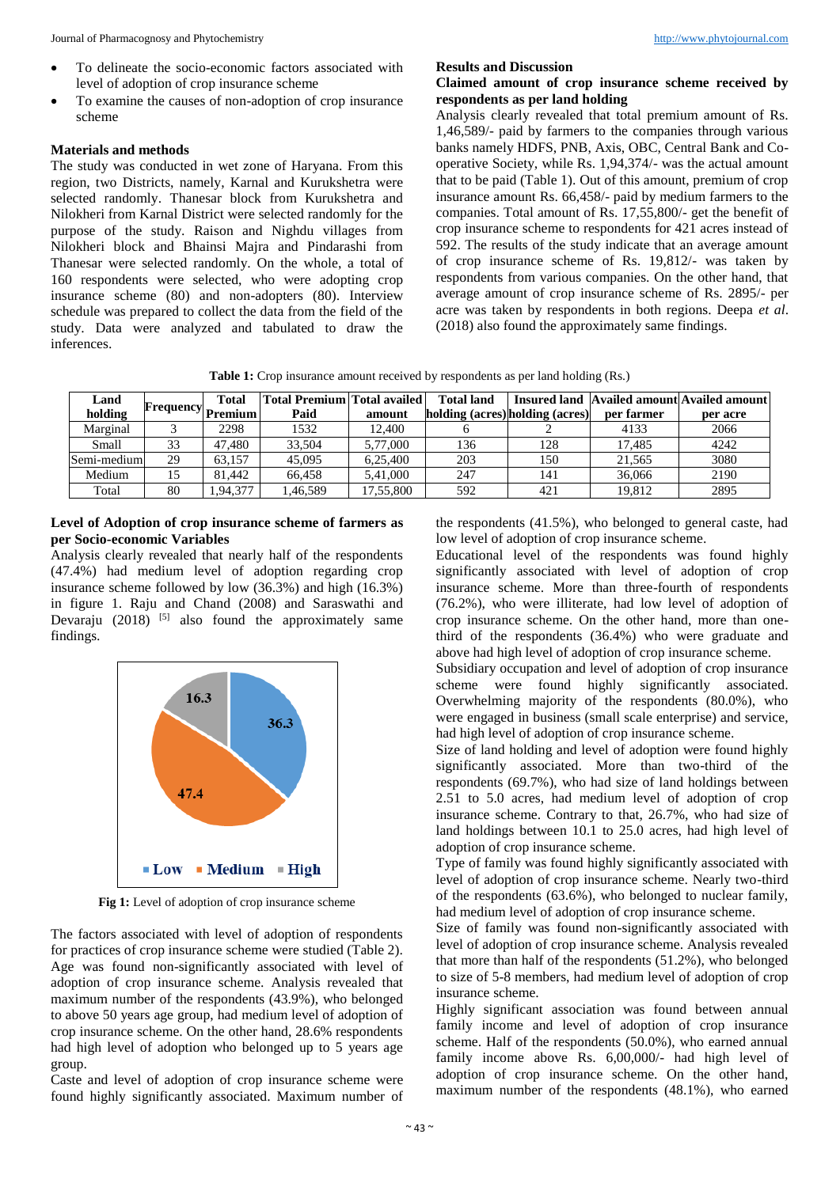- To delineate the socio-economic factors associated with level of adoption of crop insurance scheme
- To examine the causes of non-adoption of crop insurance scheme

### **Materials and methods**

The study was conducted in wet zone of Haryana. From this region, two Districts, namely, Karnal and Kurukshetra were selected randomly. Thanesar block from Kurukshetra and Nilokheri from Karnal District were selected randomly for the purpose of the study. Raison and Nighdu villages from Nilokheri block and Bhainsi Majra and Pindarashi from Thanesar were selected randomly. On the whole, a total of 160 respondents were selected, who were adopting crop insurance scheme (80) and non-adopters (80). Interview schedule was prepared to collect the data from the field of the study. Data were analyzed and tabulated to draw the inferences.

## **Results and Discussion**

# **Claimed amount of crop insurance scheme received by respondents as per land holding**

Analysis clearly revealed that total premium amount of Rs. 1,46,589/- paid by farmers to the companies through various banks namely HDFS, PNB, Axis, OBC, Central Bank and Cooperative Society, while Rs. 1,94,374/- was the actual amount that to be paid (Table 1). Out of this amount, premium of crop insurance amount Rs. 66,458/- paid by medium farmers to the companies. Total amount of Rs. 17,55,800/- get the benefit of crop insurance scheme to respondents for 421 acres instead of 592. The results of the study indicate that an average amount of crop insurance scheme of Rs. 19,812/- was taken by respondents from various companies. On the other hand, that average amount of crop insurance scheme of Rs. 2895/- per acre was taken by respondents in both regions. Deepa *et al*. (2018) also found the approximately same findings.

Table 1: Crop insurance amount received by respondents as per land holding (Rs.)

| Land        | Frequency Premium | Total    | <b>Total Premium Total availed</b> |           | <b>Total land</b> |                                 |            | Insured land Availed amount Availed amount |
|-------------|-------------------|----------|------------------------------------|-----------|-------------------|---------------------------------|------------|--------------------------------------------|
| holding     |                   |          | Paid                               | amount    |                   | holding (acres) holding (acres) | per farmer | per acre                                   |
| Marginal    |                   | 2298     | 1532                               | 12.400    |                   |                                 | 4133       | 2066                                       |
| Small       | 33                | 47.480   | 33,504                             | 5,77,000  | 136               | 128                             | 17.485     | 4242                                       |
| Semi-medium | 29                | 63.157   | 45,095                             | 6.25.400  | 203               | 150                             | 21.565     | 3080                                       |
| Medium      | 15                | 81.442   | 66.458                             | 5.41.000  | 247               | 141                             | 36,066     | 2190                                       |
| Total       | 80                | 1.94.377 | 1,46,589                           | 17,55,800 | 592               | 421                             | 19.812     | 2895                                       |

# **Level of Adoption of crop insurance scheme of farmers as per Socio-economic Variables**

Analysis clearly revealed that nearly half of the respondents (47.4%) had medium level of adoption regarding crop insurance scheme followed by low (36.3%) and high (16.3%) in figure 1. Raju and Chand (2008) and Saraswathi and Devaraju  $(2018)$ <sup>[5]</sup> also found the approximately same findings.



Fig 1: Level of adoption of crop insurance scheme

The factors associated with level of adoption of respondents for practices of crop insurance scheme were studied (Table 2). Age was found non-significantly associated with level of adoption of crop insurance scheme. Analysis revealed that maximum number of the respondents (43.9%), who belonged to above 50 years age group, had medium level of adoption of crop insurance scheme. On the other hand, 28.6% respondents had high level of adoption who belonged up to 5 years age group.

Caste and level of adoption of crop insurance scheme were found highly significantly associated. Maximum number of the respondents (41.5%), who belonged to general caste, had low level of adoption of crop insurance scheme.

Educational level of the respondents was found highly significantly associated with level of adoption of crop insurance scheme. More than three-fourth of respondents (76.2%), who were illiterate, had low level of adoption of crop insurance scheme. On the other hand, more than onethird of the respondents (36.4%) who were graduate and above had high level of adoption of crop insurance scheme.

Subsidiary occupation and level of adoption of crop insurance scheme were found highly significantly associated. Overwhelming majority of the respondents (80.0%), who were engaged in business (small scale enterprise) and service, had high level of adoption of crop insurance scheme.

Size of land holding and level of adoption were found highly significantly associated. More than two-third of the respondents (69.7%), who had size of land holdings between 2.51 to 5.0 acres, had medium level of adoption of crop insurance scheme. Contrary to that, 26.7%, who had size of land holdings between 10.1 to 25.0 acres, had high level of adoption of crop insurance scheme.

Type of family was found highly significantly associated with level of adoption of crop insurance scheme. Nearly two-third of the respondents (63.6%), who belonged to nuclear family, had medium level of adoption of crop insurance scheme.

Size of family was found non-significantly associated with level of adoption of crop insurance scheme. Analysis revealed that more than half of the respondents (51.2%), who belonged to size of 5-8 members, had medium level of adoption of crop insurance scheme.

Highly significant association was found between annual family income and level of adoption of crop insurance scheme. Half of the respondents (50.0%), who earned annual family income above Rs. 6,00,000/- had high level of adoption of crop insurance scheme. On the other hand, maximum number of the respondents (48.1%), who earned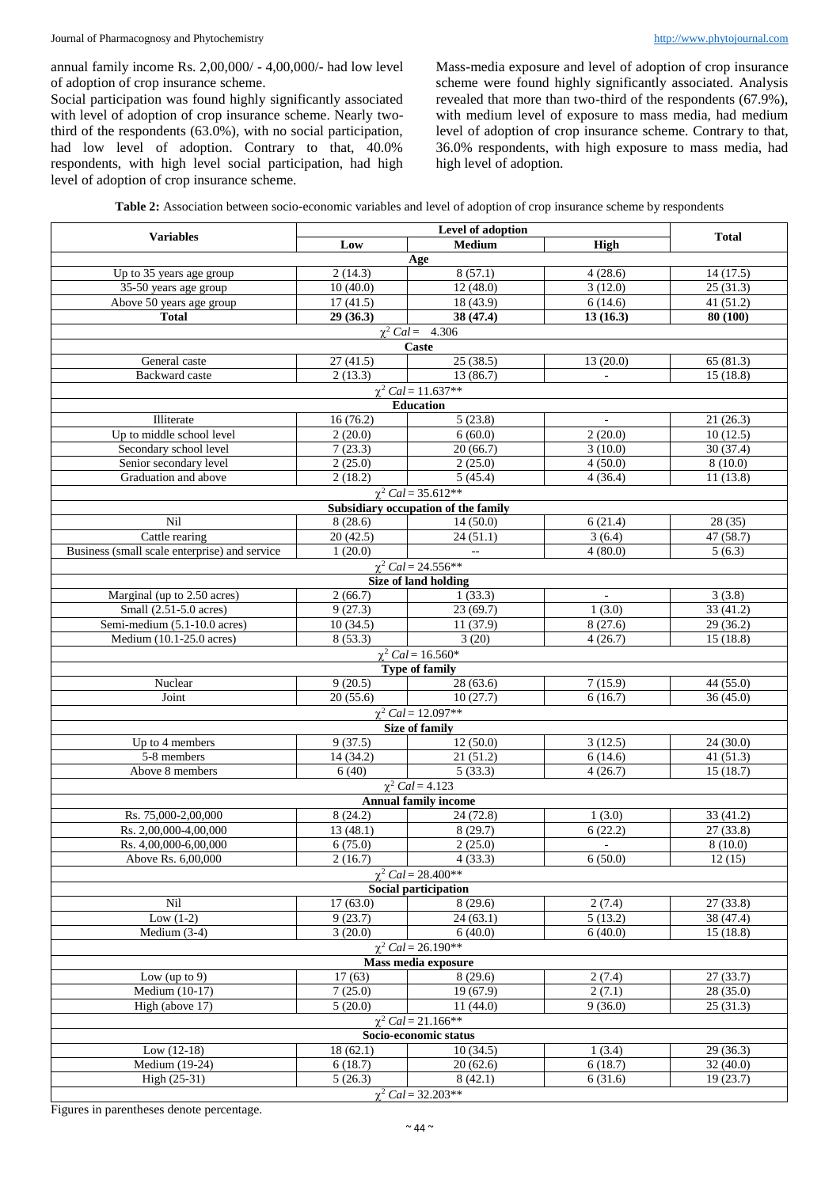annual family income Rs. 2,00,000/ - 4,00,000/- had low level of adoption of crop insurance scheme.

Social participation was found highly significantly associated with level of adoption of crop insurance scheme. Nearly twothird of the respondents (63.0%), with no social participation, had low level of adoption. Contrary to that, 40.0% respondents, with high level social participation, had high level of adoption of crop insurance scheme.

Mass-media exposure and level of adoption of crop insurance scheme were found highly significantly associated. Analysis revealed that more than two-third of the respondents (67.9%), with medium level of exposure to mass media, had medium level of adoption of crop insurance scheme. Contrary to that, 36.0% respondents, with high exposure to mass media, had high level of adoption.

| <b>Variables</b>                                      | Low                 | <b>Medium</b>                       | <b>High</b>              | <b>Total</b>          |  |  |  |  |
|-------------------------------------------------------|---------------------|-------------------------------------|--------------------------|-----------------------|--|--|--|--|
| Age                                                   |                     |                                     |                          |                       |  |  |  |  |
| Up to 35 years age group                              | 2(14.3)             | 8(57.1)                             | 4(28.6)                  | 14(17.5)              |  |  |  |  |
| $35-50$ years age group                               | 10(40.0)            | 12(48.0)                            | 3(12.0)                  | 25(31.3)              |  |  |  |  |
| Above 50 years age group                              | 17(41.5)            | 18(43.9)                            | 6(14.6)                  | 41(51.2)              |  |  |  |  |
| <b>Total</b>                                          | 29(36.3)            | 38 (47.4)                           | 13(16.3)                 | 80 (100)              |  |  |  |  |
| $\chi^2$ Cal = 4.306                                  |                     |                                     |                          |                       |  |  |  |  |
| General caste                                         | 27(41.5)            | Caste<br>25(38.5)                   | 13(20.0)                 | 65(81.3)              |  |  |  |  |
| <b>Backward</b> caste                                 | 2(13.3)             | 13(86.7)                            | $\blacksquare$           | 15(18.8)              |  |  |  |  |
|                                                       |                     |                                     |                          |                       |  |  |  |  |
| $\chi^2$ Cal = 11.637**<br><b>Education</b>           |                     |                                     |                          |                       |  |  |  |  |
| Illiterate                                            | 16(76.2)            | 5(23.8)                             |                          | 21(26.3)              |  |  |  |  |
| Up to middle school level                             | 2(20.0)             | 6(60.0)                             | 2(20.0)                  | 10(12.5)              |  |  |  |  |
| Secondary school level                                | 7(23.3)             | 20(66.7)                            | 3(10.0)                  | 30(37.4)              |  |  |  |  |
| Senior secondary level                                | 2(25.0)             | 2(25.0)<br>4(50.0)                  |                          | 8(10.0)               |  |  |  |  |
| Graduation and above                                  | 2(18.2)             | 5(45.4)<br>4(36.4)                  |                          | 11(13.8)              |  |  |  |  |
| $\chi^2$ Cal = 35.612**                               |                     |                                     |                          |                       |  |  |  |  |
|                                                       |                     | Subsidiary occupation of the family |                          |                       |  |  |  |  |
| Nil                                                   | 8(28.6)             | 14(50.0)                            | 6(21.4)                  | 28(35)                |  |  |  |  |
| Cattle rearing                                        | 20(42.5)            | $\overline{24(51.1)}$               | 3(6.4)                   | 47 (58.7)             |  |  |  |  |
| Business (small scale enterprise) and service         | 1(20.0)             | $\mathbb{L}^{\mathbb{L}}$           | 4(80.0)                  | 5(6.3)                |  |  |  |  |
|                                                       |                     | $\chi^2$ Cal = 24.556**             |                          |                       |  |  |  |  |
|                                                       |                     | Size of land holding                |                          |                       |  |  |  |  |
| Marginal (up to 2.50 acres)                           | 2(66.7)             | 1(33.3)                             | $\omega$                 | 3(3.8)                |  |  |  |  |
| Small (2.51-5.0 acres)                                | 9(27.3)             | 23(69.7)                            | 1(3.0)                   | 33(41.2)              |  |  |  |  |
| Semi-medium (5.1-10.0 acres)                          | 10(34.5)<br>8(53.3) | 11 (37.9)<br>3(20)                  | 8(27.6)<br>4(26.7)       | 29 (36.2)             |  |  |  |  |
| Medium (10.1-25.0 acres)                              |                     | $\chi^2$ Cal = 16.560*              |                          | 15(18.8)              |  |  |  |  |
|                                                       |                     | <b>Type of family</b>               |                          |                       |  |  |  |  |
| Nuclear                                               | 9(20.5)             | 28(63.6)                            | 7(15.9)                  | 44 (55.0)             |  |  |  |  |
| Joint                                                 | 20(55.6)            | 10(27.7)                            | 6(16.7)                  | 36(45.0)              |  |  |  |  |
|                                                       |                     | $\chi^2$ Cal = 12.097**             |                          |                       |  |  |  |  |
|                                                       |                     | <b>Size of family</b>               |                          |                       |  |  |  |  |
| Up to 4 members                                       | 9(37.5)             | 12(50.0)                            | 3(12.5)                  | 24(30.0)              |  |  |  |  |
| 5-8 members                                           | 14 (34.2)           | 21(51.2)                            | 6(14.6)                  | 41(51.3)              |  |  |  |  |
| Above 8 members                                       | 6(40)               | 5(33.3)                             | 4(26.7)                  | 15(18.7)              |  |  |  |  |
|                                                       |                     | $\overline{\chi^2}$ Cal = 4.123     |                          |                       |  |  |  |  |
|                                                       |                     | <b>Annual family income</b>         |                          |                       |  |  |  |  |
| Rs. 75,000-2,00,000                                   | 8(24.2)             | 24 (72.8)                           | 1(3.0)                   | 33(41.2)              |  |  |  |  |
| Rs. 2,00,000-4,00,000                                 | 13(48.1)            | 8(29.7)                             | 6(22.2)                  | 27(33.8)              |  |  |  |  |
| Rs. 4,00,000-6,00,000                                 | 6(75.0)             | 2(25.0)                             | $\overline{\phantom{a}}$ | 8(10.0)               |  |  |  |  |
| Above Rs. 6,00,000                                    | 2(16.7)             | 4(33.3)                             | 6(50.0)                  | 12(15)                |  |  |  |  |
|                                                       |                     | $\chi^2$ Cal = 28.400**             |                          |                       |  |  |  |  |
|                                                       |                     | <b>Social participation</b>         |                          |                       |  |  |  |  |
| Nil                                                   | 17(63.0)            | 8(29.6)                             | 2(7.4)                   | 27(33.8)              |  |  |  |  |
| Low $(1-2)$<br>Medium $(3-4)$                         | 9(23.7)<br>3(20.0)  | 24(63.1)<br>6(40.0)                 | 5(13.2)<br>6(40.0)       | 38 (47.4)<br>15(18.8) |  |  |  |  |
|                                                       |                     |                                     |                          |                       |  |  |  |  |
| $\chi^2$ Cal = 26.190**<br><b>Mass media exposure</b> |                     |                                     |                          |                       |  |  |  |  |
| Low (up to $9$ )                                      | 17(63)              | 8(29.6)                             | 2(7.4)                   | 27(33.7)              |  |  |  |  |
| Medium (10-17)                                        | 7(25.0)             | 19 (67.9)                           | 2(7.1)                   | 28(35.0)              |  |  |  |  |
| High (above 17)                                       | 5(20.0)             | 11(44.0)                            | 9(36.0)                  | 25(31.3)              |  |  |  |  |
| $\chi^2$ Cal = 21.166**                               |                     |                                     |                          |                       |  |  |  |  |
| Socio-economic status                                 |                     |                                     |                          |                       |  |  |  |  |
| Low $(12-18)$                                         | 18(62.1)            | 10(34.5)                            | 1(3.4)                   | 29(36.3)              |  |  |  |  |
| Medium (19-24)                                        | 6(18.7)             | 20(62.6)                            | 6(18.7)                  | 32(40.0)              |  |  |  |  |
| High (25-31)                                          | 5(26.3)             | 8(42.1)                             | 6(31.6)                  | 19(23.7)              |  |  |  |  |
| $\chi^2$ Cal = 32.203**                               |                     |                                     |                          |                       |  |  |  |  |

Figures in parentheses denote percentage.